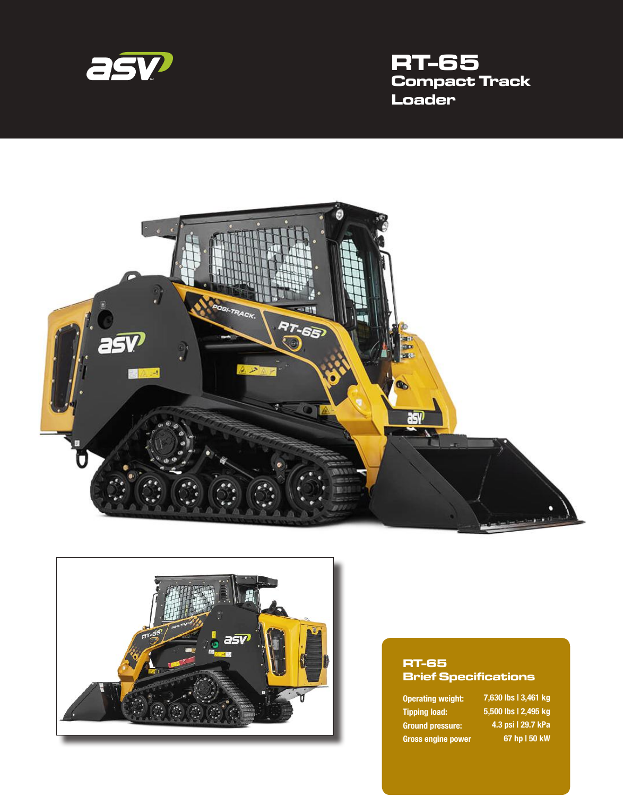

# **RT-65 Compact Track Loader**





#### **RT-65 Brief Specifications**

Operating weight: Tipping load: Ground pressure: Gross engine power ,630 lbs | 3,461 kg ,500 lbs | 2,495 kg .3 psi | 29.7 kPa hp | 50 kW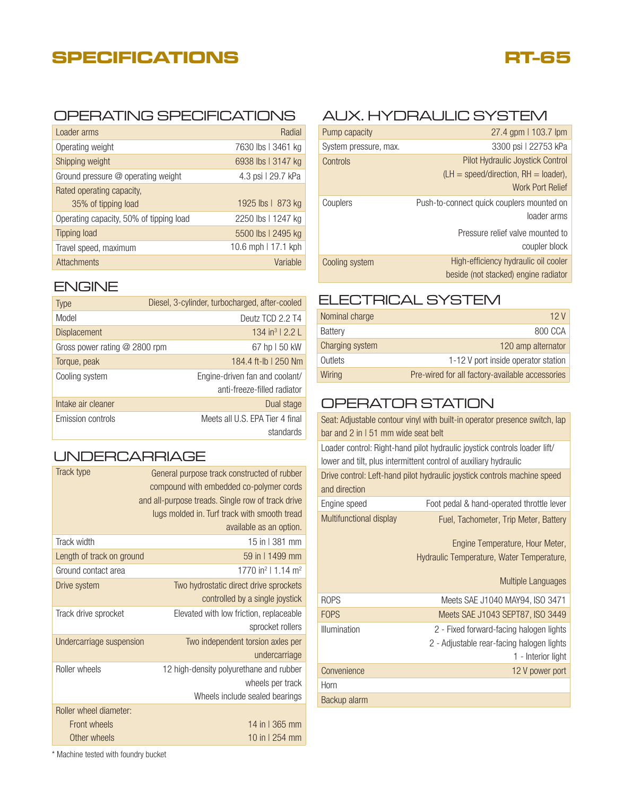# **SPECIFICATIONS**

# **RT-65**

### OPERATING SPECIFICATIONS AUX. HYDRAULIC SYSTEM

| Loader arms                             | Radial              |
|-----------------------------------------|---------------------|
| Operating weight                        | 7630 lbs   3461 kg  |
| Shipping weight                         | 6938 lbs   3147 kg  |
| Ground pressure @ operating weight      | 4.3 psi   29.7 kPa  |
| Rated operating capacity,               |                     |
| 35% of tipping load                     | 1925 lbs   873 kg   |
| Operating capacity, 50% of tipping load | 2250 lbs   1247 kg  |
| <b>Tipping load</b>                     | 5500 lbs   2495 kg  |
| Travel speed, maximum                   | 10.6 mph   17.1 kph |
| <b>Attachments</b>                      | Variable            |

#### ENGINE

| <b>Type</b>                     | Diesel, 3-cylinder, turbocharged, after-cooled |
|---------------------------------|------------------------------------------------|
| Model                           | Deutz TCD 2.2 T4                               |
| <b>Displacement</b>             | $134 \text{ in}^3$   2.2                       |
| Gross power rating $@$ 2800 rpm | 67 hp   50 kW                                  |
| Torque, peak                    | 184.4 ft-lb   250 Nm                           |
| Cooling system                  | Engine-driven fan and coolant/                 |
|                                 | anti-freeze-filled radiator                    |
| Intake air cleaner              | Dual stage                                     |
| Emission controls               | Meets all U.S. EPA Tier 4 final<br>standards   |

## UNDERCARRIAGE

| Track type                                             | General purpose track constructed of rubber<br>compound with embedded co-polymer cords<br>and all-purpose treads. Single row of track drive<br>lugs molded in. Turf track with smooth tread<br>available as an option. |
|--------------------------------------------------------|------------------------------------------------------------------------------------------------------------------------------------------------------------------------------------------------------------------------|
| Track width                                            | 15 in 1381 mm                                                                                                                                                                                                          |
| Length of track on ground                              | 59 in 11499 mm                                                                                                                                                                                                         |
| Ground contact area                                    | 1770 in <sup>2</sup>   1.14 m <sup>2</sup>                                                                                                                                                                             |
| Drive system                                           | Two hydrostatic direct drive sprockets<br>controlled by a single joystick                                                                                                                                              |
| Track drive sprocket                                   | Elevated with low friction, replaceable<br>sprocket rollers                                                                                                                                                            |
| Undercarriage suspension                               | Two independent torsion axles per<br>undercarriage                                                                                                                                                                     |
| Roller wheels                                          | 12 high-density polyurethane and rubber<br>wheels per track<br>Wheels include sealed bearings                                                                                                                          |
| Roller wheel diameter:<br>Front wheels<br>Other wheels | 14 in 1365 mm<br>10 in 1 254 mm                                                                                                                                                                                        |

| Pump capacity         | 27.4 gpm   103.7 lpm                                                              |
|-----------------------|-----------------------------------------------------------------------------------|
| System pressure, max. | 3300 psi   22753 kPa                                                              |
| Controls              | <b>Pilot Hydraulic Joystick Control</b><br>$(LH = speed/direction, RH = loader),$ |
|                       | <b>Work Port Relief</b>                                                           |
| Couplers              | Push-to-connect quick couplers mounted on<br>loader arms                          |
|                       | Pressure relief valve mounted to<br>coupler block                                 |
| Cooling system        | High-efficiency hydraulic oil cooler<br>beside (not stacked) engine radiator      |

## ELECTRICAL SYSTEM

| Nominal charge  | 12 V                                            |
|-----------------|-------------------------------------------------|
| Battery         | 800 CCA                                         |
| Charging system | 120 amp alternator                              |
| Outlets         | 1-12 V port inside operator station             |
| Wiring          | Pre-wired for all factory-available accessories |

### OPERATOR STATION

| Seat: Adjustable contour vinyl with built-in operator presence switch, lap |                                                                  |  |
|----------------------------------------------------------------------------|------------------------------------------------------------------|--|
| bar and $2$ in $151$ mm wide seat belt                                     |                                                                  |  |
| Loader control: Right-hand pilot hydraulic joystick controls loader lift/  |                                                                  |  |
|                                                                            | lower and tilt, plus intermittent control of auxiliary hydraulic |  |
| Drive control: Left-hand pilot hydraulic joystick controls machine speed   |                                                                  |  |
| and direction                                                              |                                                                  |  |
| Engine speed                                                               | Foot pedal & hand-operated throttle lever                        |  |
| Multifunctional display                                                    | Fuel, Tachometer, Trip Meter, Battery                            |  |
|                                                                            | Engine Temperature, Hour Meter,                                  |  |
|                                                                            | Hydraulic Temperature, Water Temperature,                        |  |
|                                                                            | Multiple Languages                                               |  |
| <b>ROPS</b>                                                                | Meets SAE J1040 MAY94, ISO 3471                                  |  |
| <b>FOPS</b>                                                                | Meets SAE J1043 SEPT87, ISO 3449                                 |  |
| Illumination                                                               | 2 - Fixed forward-facing halogen lights                          |  |
|                                                                            | 2 - Adjustable rear-facing halogen lights                        |  |
|                                                                            | 1 - Interior light                                               |  |
|                                                                            |                                                                  |  |
| Convenience                                                                | 12 V power port                                                  |  |
| Horn                                                                       |                                                                  |  |
| Backup alarm                                                               |                                                                  |  |

\* Machine tested with foundry bucket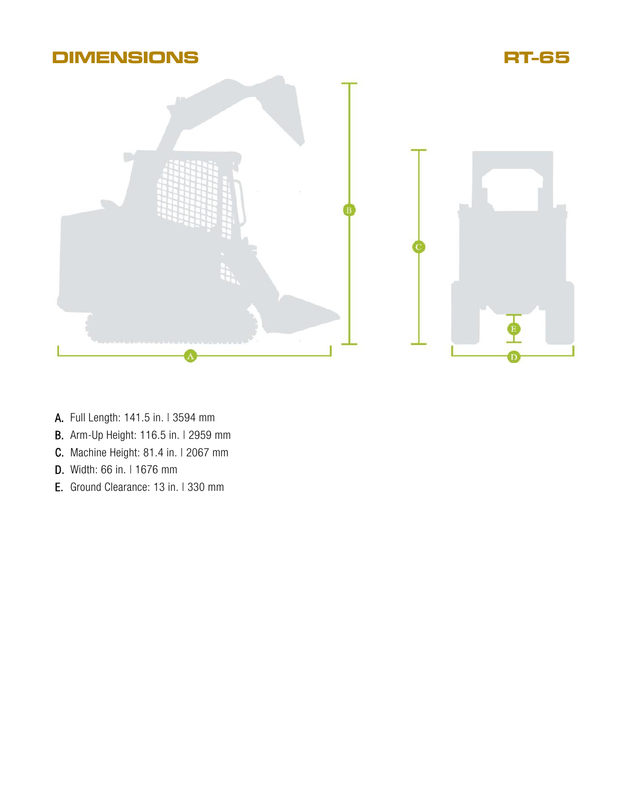

- A. Full Length: 141.5 in. I 3594 mm
- **B.** Arm-Up Height: 116.5 in. I 2959 mm
- **C.** Machine Height: 81.4 in. | 2067 mm
- D. Width: 66 in. I 1676 mm
- E. Ground Clearance: 13 in. I 330 mm